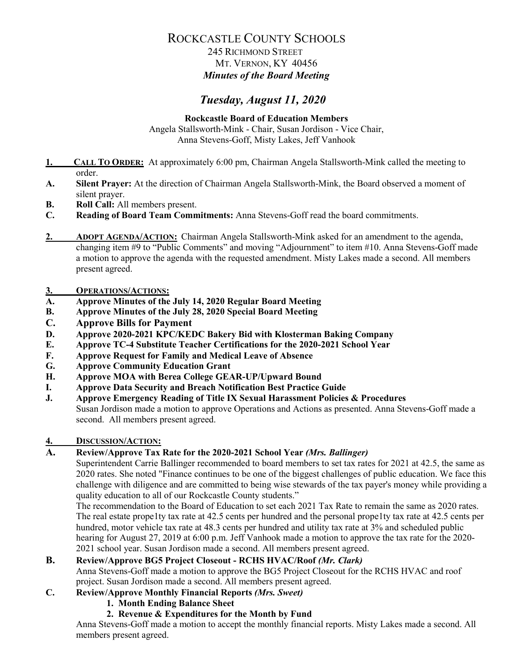# 245 RICHMOND STREET MT. VERNON, KY 40456 *Minutes of the Board Meeting*

# *Tuesday, August 11, 2020*

**Rockcastle Board of Education Members** Angela Stallsworth-Mink - Chair, Susan Jordison - Vice Chair, Anna Stevens-Goff, Misty Lakes, Jeff Vanhook

- **1. CALL TO ORDER:** At approximately 6:00 pm, Chairman Angela Stallsworth-Mink called the meeting to order.
- **A. Silent Prayer:** At the direction of Chairman Angela Stallsworth-Mink, the Board observed a moment of silent prayer.
- **B. Roll Call:** All members present.
- **C. Reading of Board Team Commitments:** Anna Stevens-Goff read the board commitments.
- **2. ADOPT AGENDA/ACTION:** Chairman Angela Stallsworth-Mink asked for an amendment to the agenda, changing item #9 to "Public Comments" and moving "Adjournment" to item #10. Anna Stevens-Goff made a motion to approve the agenda with the requested amendment. Misty Lakes made a second. All members present agreed.

# **3. OPERATIONS/ACTIONS:**

- **A. Approve Minutes of the July 14, 2020 Regular Board Meeting**
- **B. Approve Minutes of the July 28, 2020 Special Board Meeting**
- **C. Approve Bills for Payment**
- **D. Approve 2020-2021 KPC/KEDC Bakery Bid with Klosterman Baking Company**
- **E. Approve TC-4 Substitute Teacher Certifications for the 2020-2021 School Year**
- **F. Approve Request for Family and Medical Leave of Absence**
- **G. Approve Community Education Grant**
- **H. Approve MOA with Berea College GEAR-UP/Upward Bound**
- **I. Approve Data Security and Breach Notification Best Practice Guide**
- **J. Approve Emergency Reading of Title IX Sexual Harassment Policies & Procedures** Susan Jordison made a motion to approve Operations and Actions as presented. Anna Stevens-Goff made a second. All members present agreed.

# **4. DISCUSSION/ACTION:**

# **A. Review/Approve Tax Rate for the 2020-2021 School Year** *(Mrs. Ballinger)*

Superintendent Carrie Ballinger recommended to board members to set tax rates for 2021 at 42.5, the same as 2020 rates. She noted "Finance continues to be one of the biggest challenges of public education. We face this challenge with diligence and are committed to being wise stewards of the tax payer's money while providing a quality education to all of our Rockcastle County students."

The recommendation to the Board of Education to set each 2021 Tax Rate to remain the same as 2020 rates. The real estate prope1ty tax rate at 42.5 cents per hundred and the personal prope1ty tax rate at 42.5 cents per hundred, motor vehicle tax rate at 48.3 cents per hundred and utility tax rate at 3% and scheduled public hearing for August 27, 2019 at 6:00 p.m. Jeff Vanhook made a motion to approve the tax rate for the 2020-2021 school year. Susan Jordison made a second. All members present agreed.

# **B. Review/Approve BG5 Project Closeout - RCHS HVAC/Roof** *(Mr. Clark)*

Anna Stevens-Goff made a motion to approve the BG5 Project Closeout for the RCHS HVAC and roof project. Susan Jordison made a second. All members present agreed.

# **C. Review/Approve Monthly Financial Reports** *(Mrs. Sweet)*

- **1. Month Ending Balance Sheet**
- **2. Revenue & Expenditures for the Month by Fund**

Anna Stevens-Goff made a motion to accept the monthly financial reports. Misty Lakes made a second. All members present agreed.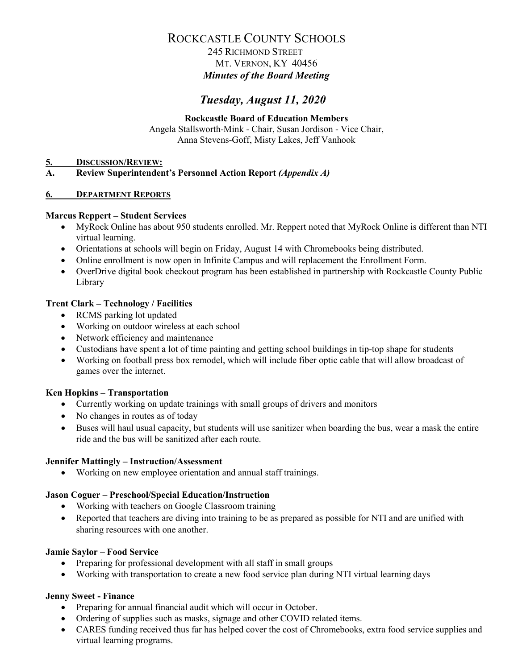# 245 RICHMOND STREET MT. VERNON, KY 40456 *Minutes of the Board Meeting*

# *Tuesday, August 11, 2020*

# **Rockcastle Board of Education Members**

Angela Stallsworth-Mink - Chair, Susan Jordison - Vice Chair, Anna Stevens-Goff, Misty Lakes, Jeff Vanhook

#### **5. DISCUSSION/REVIEW:**

### **A. Review Superintendent's Personnel Action Report** *(Appendix A)*

#### **6. DEPARTMENT REPORTS**

### **Marcus Reppert – Student Services**

- MyRock Online has about 950 students enrolled. Mr. Reppert noted that MyRock Online is different than NTI virtual learning.
- Orientations at schools will begin on Friday, August 14 with Chromebooks being distributed.
- Online enrollment is now open in Infinite Campus and will replacement the Enrollment Form.
- OverDrive digital book checkout program has been established in partnership with Rockcastle County Public Library

# **Trent Clark – Technology / Facilities**

- RCMS parking lot updated
- Working on outdoor wireless at each school
- Network efficiency and maintenance
- Custodians have spent a lot of time painting and getting school buildings in tip-top shape for students
- Working on football press box remodel, which will include fiber optic cable that will allow broadcast of games over the internet.

# **Ken Hopkins – Transportation**

- Currently working on update trainings with small groups of drivers and monitors
- No changes in routes as of today
- Buses will haul usual capacity, but students will use sanitizer when boarding the bus, wear a mask the entire ride and the bus will be sanitized after each route.

#### **Jennifer Mattingly – Instruction/Assessment**

• Working on new employee orientation and annual staff trainings.

# **Jason Coguer – Preschool/Special Education/Instruction**

- Working with teachers on Google Classroom training
- Reported that teachers are diving into training to be as prepared as possible for NTI and are unified with sharing resources with one another.

#### **Jamie Saylor – Food Service**

- Preparing for professional development with all staff in small groups
- Working with transportation to create a new food service plan during NTI virtual learning days

# **Jenny Sweet - Finance**

- Preparing for annual financial audit which will occur in October.
- Ordering of supplies such as masks, signage and other COVID related items.
- CARES funding received thus far has helped cover the cost of Chromebooks, extra food service supplies and virtual learning programs.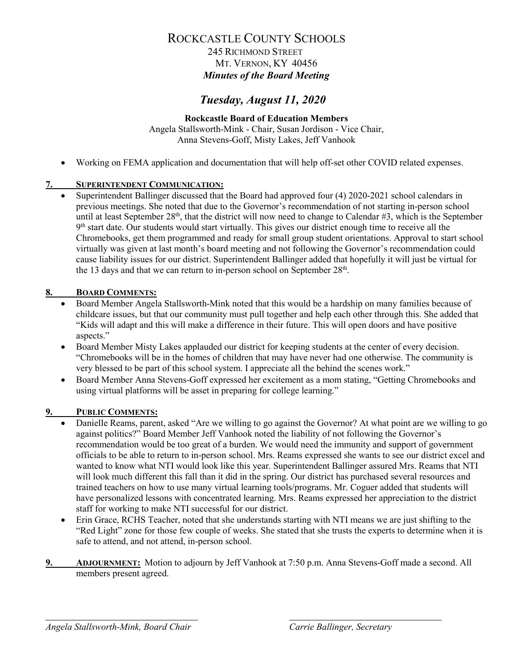# 245 RICHMOND STREET MT. VERNON, KY 40456 *Minutes of the Board Meeting*

# *Tuesday, August 11, 2020*

# **Rockcastle Board of Education Members**

Angela Stallsworth-Mink - Chair, Susan Jordison - Vice Chair, Anna Stevens-Goff, Misty Lakes, Jeff Vanhook

• Working on FEMA application and documentation that will help off-set other COVID related expenses.

# **7. SUPERINTENDENT COMMUNICATION:**

• Superintendent Ballinger discussed that the Board had approved four (4) 2020-2021 school calendars in previous meetings. She noted that due to the Governor's recommendation of not starting in-person school until at least September 28<sup>th</sup>, that the district will now need to change to Calendar #3, which is the September 9<sup>th</sup> start date. Our students would start virtually. This gives our district enough time to receive all the Chromebooks, get them programmed and ready for small group student orientations. Approval to start school virtually was given at last month's board meeting and not following the Governor's recommendation could cause liability issues for our district. Superintendent Ballinger added that hopefully it will just be virtual for the 13 days and that we can return to in-person school on September  $28<sup>th</sup>$ .

# **8. BOARD COMMENTS:**

- Board Member Angela Stallsworth-Mink noted that this would be a hardship on many families because of childcare issues, but that our community must pull together and help each other through this. She added that "Kids will adapt and this will make a difference in their future. This will open doors and have positive aspects."
- Board Member Misty Lakes applauded our district for keeping students at the center of every decision. "Chromebooks will be in the homes of children that may have never had one otherwise. The community is very blessed to be part of this school system. I appreciate all the behind the scenes work."
- Board Member Anna Stevens-Goff expressed her excitement as a mom stating, "Getting Chromebooks and using virtual platforms will be asset in preparing for college learning."

# **9. PUBLIC COMMENTS:**

- Danielle Reams, parent, asked "Are we willing to go against the Governor? At what point are we willing to go against politics?" Board Member Jeff Vanhook noted the liability of not following the Governor's recommendation would be too great of a burden. We would need the immunity and support of government officials to be able to return to in-person school. Mrs. Reams expressed she wants to see our district excel and wanted to know what NTI would look like this year. Superintendent Ballinger assured Mrs. Reams that NTI will look much different this fall than it did in the spring. Our district has purchased several resources and trained teachers on how to use many virtual learning tools/programs. Mr. Coguer added that students will have personalized lessons with concentrated learning. Mrs. Reams expressed her appreciation to the district staff for working to make NTI successful for our district.
- Erin Grace, RCHS Teacher, noted that she understands starting with NTI means we are just shifting to the "Red Light" zone for those few couple of weeks. She stated that she trusts the experts to determine when it is safe to attend, and not attend, in-person school.
- **9. ADJOURNMENT:** Motion to adjourn by Jeff Vanhook at 7:50 p.m. Anna Stevens-Goff made a second. All members present agreed.